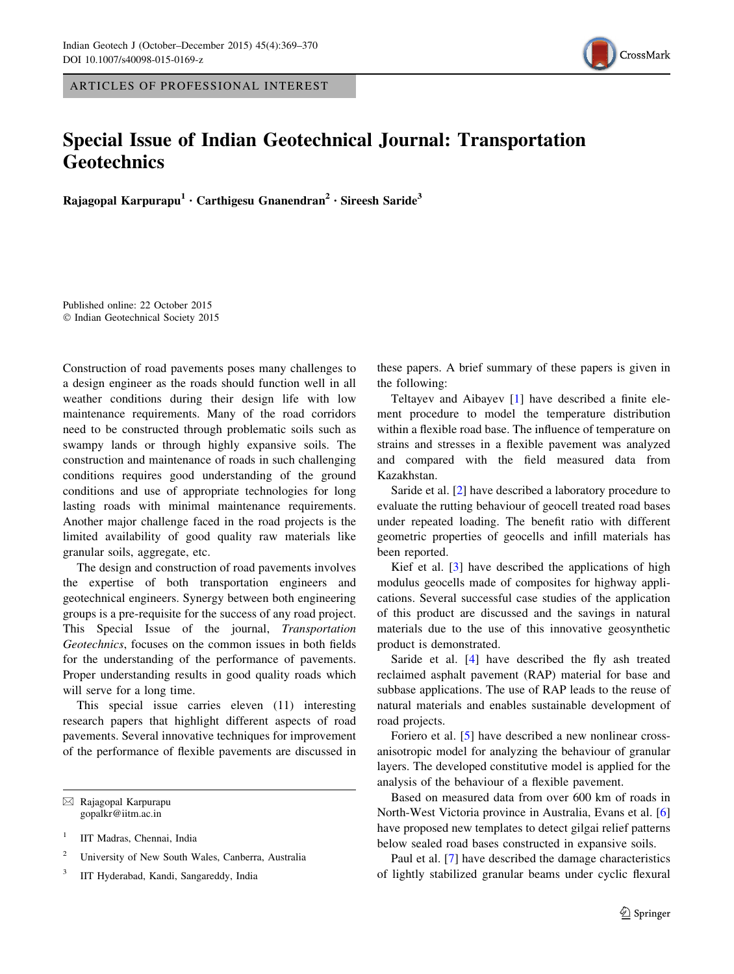ARTICLES OF PROFESSIONAL INTEREST

## Special Issue of Indian Geotechnical Journal: Transportation **Geotechnics**

Rajagopal Karpurapu<sup>1</sup> · Carthigesu Gnanendran<sup>2</sup> · Sireesh Saride<sup>3</sup>

Published online: 22 October 2015 © Indian Geotechnical Society 2015

Construction of road pavements poses many challenges to a design engineer as the roads should function well in all weather conditions during their design life with low maintenance requirements. Many of the road corridors need to be constructed through problematic soils such as swampy lands or through highly expansive soils. The construction and maintenance of roads in such challenging conditions requires good understanding of the ground conditions and use of appropriate technologies for long lasting roads with minimal maintenance requirements. Another major challenge faced in the road projects is the limited availability of good quality raw materials like granular soils, aggregate, etc.

The design and construction of road pavements involves the expertise of both transportation engineers and geotechnical engineers. Synergy between both engineering groups is a pre-requisite for the success of any road project. This Special Issue of the journal, Transportation Geotechnics, focuses on the common issues in both fields for the understanding of the performance of pavements. Proper understanding results in good quality roads which will serve for a long time.

This special issue carries eleven (11) interesting research papers that highlight different aspects of road pavements. Several innovative techniques for improvement of the performance of flexible pavements are discussed in

 $\boxtimes$  Rajagopal Karpurapu gopalkr@iitm.ac.in

<sup>1</sup> IIT Madras, Chennai, India

<sup>2</sup> University of New South Wales, Canberra, Australia

<sup>3</sup> IIT Hyderabad, Kandi, Sangareddy, India

these papers. A brief summary of these papers is given in the following:

Teltayev and Aibayev [\[1](#page-1-0)] have described a finite element procedure to model the temperature distribution within a flexible road base. The influence of temperature on strains and stresses in a flexible pavement was analyzed and compared with the field measured data from Kazakhstan.

Saride et al. [[2\]](#page-1-0) have described a laboratory procedure to evaluate the rutting behaviour of geocell treated road bases under repeated loading. The benefit ratio with different geometric properties of geocells and infill materials has been reported.

Kief et al. [[3\]](#page-1-0) have described the applications of high modulus geocells made of composites for highway applications. Several successful case studies of the application of this product are discussed and the savings in natural materials due to the use of this innovative geosynthetic product is demonstrated.

Saride et al. [[4\]](#page-1-0) have described the fly ash treated reclaimed asphalt pavement (RAP) material for base and subbase applications. The use of RAP leads to the reuse of natural materials and enables sustainable development of road projects.

Foriero et al. [[5\]](#page-1-0) have described a new nonlinear crossanisotropic model for analyzing the behaviour of granular layers. The developed constitutive model is applied for the analysis of the behaviour of a flexible pavement.

Based on measured data from over 600 km of roads in North-West Victoria province in Australia, Evans et al. [[6\]](#page-1-0) have proposed new templates to detect gilgai relief patterns below sealed road bases constructed in expansive soils.

Paul et al. [[7\]](#page-1-0) have described the damage characteristics of lightly stabilized granular beams under cyclic flexural